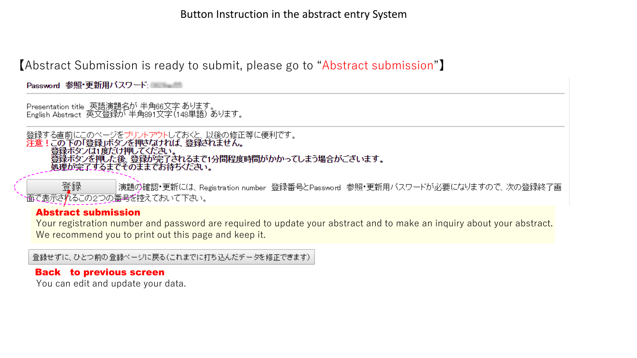【Abstract Submission is ready to submit, please go to "Abstract submission"】

Password 参照 更新用バスワード:

Presentation title 英語演題名が 半角66文字 あります。<br>English Abstract 英文登録が 半角891文字(148単語) あります。

登録する直前にこのページをプリントアウトしておくと、以後の修正等に便利です。<br><mark>注意!この下の「登録」ボタンを押さなければ、登録されません。</mark> 登録ボタブは1度だけ押してください。 登録ボタンを押した後、登録が完了されるまで1分間程度時間がかかってしまう場合がございます。 処理が完了するまでそのままでお待ちください。

登録 |演題の確認・更新には、Registration number 登録番号とPassword 参照・更新用バスワードが必要になりますので、次の登録終了画 ↑面で表示されるこの2つの番号を控えておいて下さい。

#### Abstract submission

Your registration number and password are required to update your abstract and to make an inquiry about your abstract. We recommend you to print out this page and keep it.

|登録せずに、ひとつ前の登録ページに戻る(これまでに打ち込んだデータを修正できます)

#### Back to previous screen

You can edit and update your data.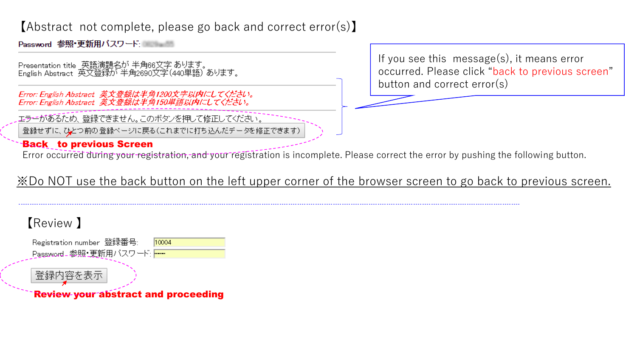### 【Abstract not complete, please go back and correct error(s)】

Password 参照 更新用バスワード - - - - -

Presentation title 英語演題名が 半角66文字 あります。<br>English Abstract 英文登録が 半角2690文字(440単語) あります。

Error: English Abstract 英文登録は半角1200文字以内にしてください。<br>Error: English Abstract 英文登録は半角150単語以内にしてください。

エラーがあるため、登録できません。このボタンを押して修正してください。

登録せずに、ひとつ前の登録ページに戻る(これまでに打ち込んだデータを修正できます)

### Back to previous Screen

Error occurred during your registration, and your registration is incomplete. Please correct the error by pushing the following button.

※Do NOT use the back button on the left upper corner of the browser screen to go back to previous screen.

## 【Review 】

Registration number 登録番号: 10004 Password - 参照・更新用バスワード: ---

登録内容を表示

Review your abstract and proceeding

If you see this message(s), it means error occurred. Please click "back to previous screen" button and correct error(s)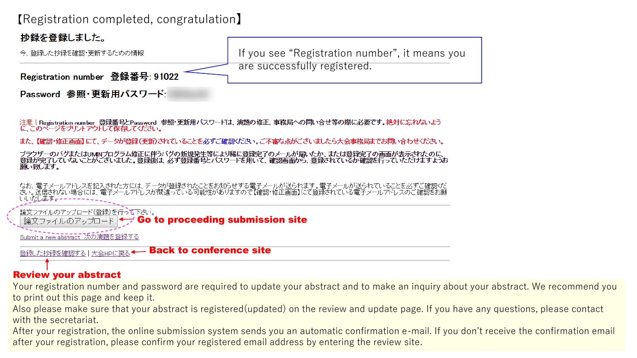### 【Registration completed, congratulation】



注意! Registration number 登録番号とPassword 参照・更新用バスワードは、演題の修正、事務局への問い合せ等の際に必要です。絶対に忘れないよう に このページをプリントアウトして保存してください。

また、【確認・修正画面】にて、データが登録(更新)されていることを必ずご確認ください。ご不審な点がございましたら大会事務局までお問い合わせください。

ブラウザーのバグまたはUMNプログラム修正に伴うバグの新規発生等により稀に登録完了のメールが届いたか、または登録完了の画面が表示されたのに<br>登録が完了していないことがございました。登録後は、必ず登録番号とバスワードを用いて、確認画面から、登録されているか確認を行っていただけますようお 願い致します。

なお、電子メールアドレスを記入された方には、データが登録されたことをお知らせする電子メールが送られます。電子メールが送られていることを必ずご確認くだ<br>さい。送信されない場合には、電子メールアドレスが間違っている可能性がありますので【確認・修正画面】にて登録されている電子メールアドレスのご確認をお願 心流走起

論文ファイルのアップロード(登録)を行って下さい。 論文ファイルのアップロード |← Go to proceeding submission site

Submit a new abstract 次の演題を登録する

Back to conference site 登録した抄録を確認する十大会HPに戻る

#### Review your abstract

Your registration number and password are required to update your abstract and to make an inquiry about your abstract. We recommend you to print out this page and keep it.

Also please make sure that your abstract is registered(updated) on the review and update page. If you have any questions, please contact with the secretariat.

After your registration, the online submission system sends you an automatic confirmation e-mail. If you don't receive the confirmation email after your registration, please confirm your registered email address by entering the review site.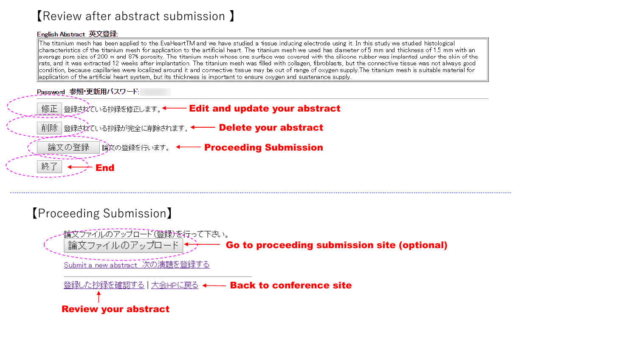### 【Review after abstract submission 】

#### English Abstract 英文登録:

The titanium mesh has been applied to the EvaHeartTM and we have studied a tissue inducing electrode using it. In this study we studied histological  $\|$ characteristics of the titanium mesh for application to the artificial heart. The titanium mesh we used has diameter of 5 mm and thickness of 1.5 mm with an ∥average pore size of 200 m and 87% porosity. The titanium mesh whose one surface was covered with the silicone rubber was implanted under the skin of the  $\parallel$ rats, and it was extracted 12 weeks after implantation. The titanium mesh was filled with collagen, fibroblasts, but the connective tissue was not always good condition, because capillaries were localized around it and connective tissue may be out of range of oxygen supply.The titanium mesh is suitable material for  $\parallel$ application of the artificial heart system, but its thickness is important to ensure oxygen and sustenance supply.

Password 参照·更新用バスワード:



## 【Proceeding Submission】

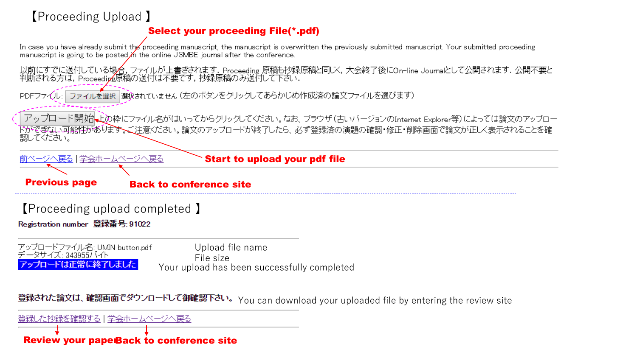# 【Proceeding Upload 】

#### Select your proceeding File(\*.pdf)

In case you have already submit the proceeding manuscript, the manuscript is overwritten the previously submitted manuscript. Your submitted proceeding manuscript is going to be posted in the online JSMBE journal after the conference.

以前にすでに送付している場合,ファイルが上書きされます. Proceeding 原稿も抄録原稿と同じく,大会終了後にOn-line Journaにして公開されます.公開不要と<br>判断される方は, Proceedip@原稿の送付は不要です,抄録原稿のみ送付して下さい.

|ファイルを選択||選択されていません (左のボタンをクリックしてあらかじめ作成済の論文ファイルを選びます)|  $PDFZZU:$ 

アップロード開始し上の枠にファイル名がはいってからクリックしてください。なお、ブラウザ(古いバージョンのIntemet Explorer等)によっては論文のアップロー ドができない可能性があります。ご注意ください。論文のアップロードが終了したら、必ず登録済の演題の確認・修正・削除画面で論文が正しく表示されることを確 認してください。

ヾージへ戻る | 学会ホームページへ戻る Start to upload your pdf file **Previous page Back to conference site** 【Proceeding upload completed 】Registration number 登録番号: 91022 アップロードファイル名: UMIN button.pdf Upload file name タサイズ : 343955バイト File size カロードは正常に終了しました Your upload has been successfully completed

登録された論文は、確認画面でダウンロードして御確認下さい。 You can download your uploaded file by entering the review site

**Review your paperBack to conference site** 

|登録した抄録を確認する | 学会ホームページへ戻る